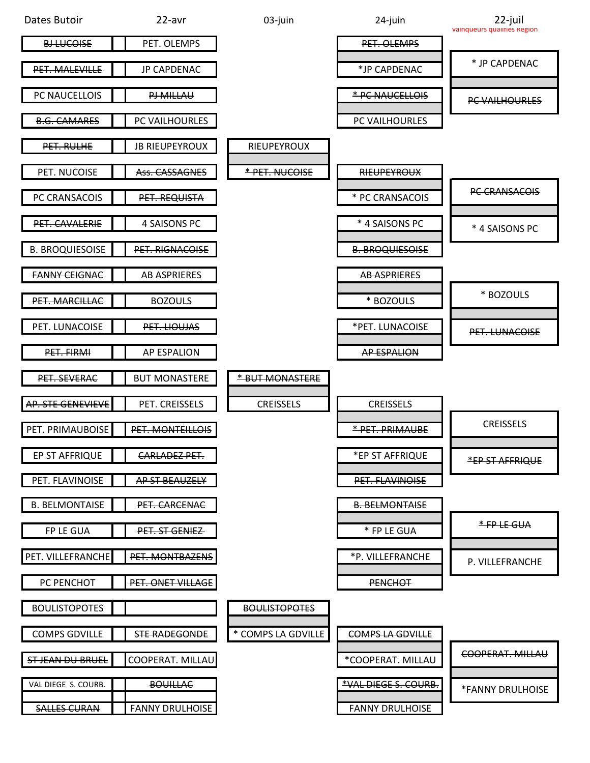